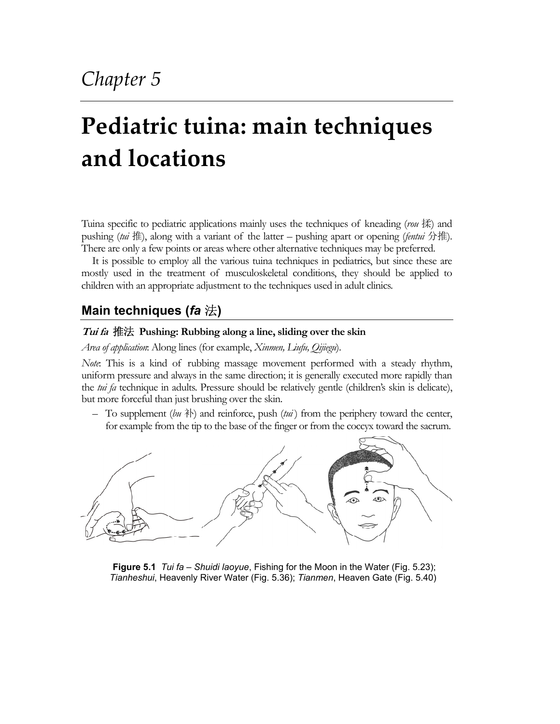# **Pediatric tuina: main techniques and locations**

Tuina specific to pediatric applications mainly uses the techniques of kneading (*rou* 揉) and pushing (*tui* 推), along with a variant of the latter – pushing apart or opening (*fentui* 分推). There are only a few points or areas where other alternative techniques may be preferred.

It is possible to employ all the various tuina techniques in pediatrics, but since these are mostly used in the treatment of musculoskeletal conditions, they should be applied to children with an appropriate adjustment to the techniques used in adult clinics.

# **Main techniques (***fa* 法**)**

## **Tui fa** 推法 **Pushing: Rubbing along a line, sliding over the skin**

*Area of application*: Along lines (for example, *Xinmen, Liufu, Qijiegu*).

*Note*: This is a kind of rubbing massage movement performed with a steady rhythm, uniform pressure and always in the same direction; it is generally executed more rapidly than the *tui fa* technique in adults. Pressure should be relatively gentle (children's skin is delicate), but more forceful than just brushing over the skin.

– To supplement ( $\ell u \partial \psi$ ) and reinforce, push ( $\ell u \nu i$ ) from the periphery toward the center, for example from the tip to the base of the finger or from the coccyx toward the sacrum.



**Figure 5.1** *Tui fa* – *Shuidi laoyue*, Fishing for the Moon in the Water (Fig. 5.23); *Tianheshui*, Heavenly River Water (Fig. 5.36); *Tianmen*, Heaven Gate (Fig. 5.40)